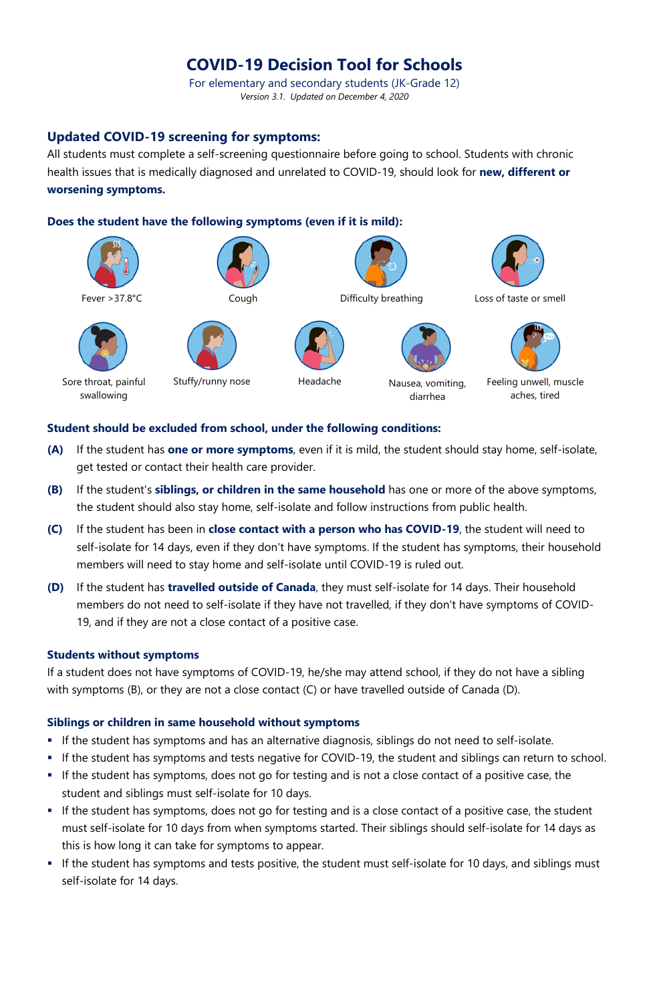# **COVID-19 Decision Tool for Schools**

For elementary and secondary students (JK-Grade 12) *Version 3.1. Updated on December 4, 2020*

## **Updated COVID-19 screening for symptoms:**

All students must complete a self-screening questionnaire before going to school. Students with chronic health issues that is medically diagnosed and unrelated to COVID-19, should look for **new, different or worsening symptoms.**

#### **Does the student have the following symptoms (even if it is mild):**



### **Student should be excluded from school, under the following conditions:**

- **(A)** If the student has **one or more symptoms**, even if it is mild, the student should stay home, self-isolate, get tested or contact their health care provider.
- **(B)** If the student's **siblings, or children in the same household** has one or more of the above symptoms, the student should also stay home, self-isolate and follow instructions from public health.
- **(C)** If the student has been in **close contact with a person who has COVID-19**, the student will need to self-isolate for 14 days, even if they don't have symptoms. If the student has symptoms, their household members will need to stay home and self-isolate until COVID-19 is ruled out.
- **(D)** If the student has **travelled outside of Canada**, they must self-isolate for 14 days. Their household members do not need to self-isolate if they have not travelled, if they don't have symptoms of COVID-19, and if they are not a close contact of a positive case.

### **Students without symptoms**

If a student does not have symptoms of COVID-19, he/she may attend school, if they do not have a sibling with symptoms (B), or they are not a close contact (C) or have travelled outside of Canada (D).

#### **Siblings or children in same household without symptoms**

- If the student has symptoms and has an alternative diagnosis, siblings do not need to self-isolate.
- If the student has symptoms and tests negative for COVID-19, the student and siblings can return to school.
- If the student has symptoms, does not go for testing and is not a close contact of a positive case, the student and siblings must self-isolate for 10 days.
- If the student has symptoms, does not go for testing and is a close contact of a positive case, the student must self-isolate for 10 days from when symptoms started. Their siblings should self-isolate for 14 days as this is how long it can take for symptoms to appear.
- **If the student has symptoms and tests positive, the student must self-isolate for 10 days, and siblings must** self-isolate for 14 days.